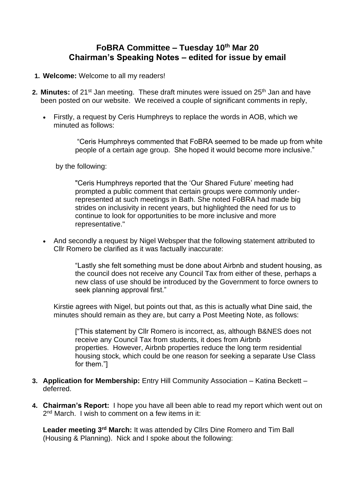# **FoBRA Committee – Tuesday 10th Mar 20 Chairman's Speaking Notes – edited for issue by email**

- **1. Welcome:** Welcome to all my readers!
- 2. Minutes: of 21<sup>st</sup> Jan meeting. These draft minutes were issued on 25<sup>th</sup> Jan and have been posted on our website. We received a couple of significant comments in reply,
	- Firstly, a request by Ceris Humphreys to replace the words in AOB, which we minuted as follows:

"Ceris Humphreys commented that FoBRA seemed to be made up from white people of a certain age group. She hoped it would become more inclusive."

by the following:

"Ceris Humphreys reported that the 'Our Shared Future' meeting had prompted a public comment that certain groups were commonly underrepresented at such meetings in Bath. She noted FoBRA had made big strides on inclusivity in recent years, but highlighted the need for us to continue to look for opportunities to be more inclusive and more representative."

• And secondly a request by Nigel Websper that the following statement attributed to Cllr Romero be clarified as it was factually inaccurate:

> "Lastly she felt something must be done about Airbnb and student housing, as the council does not receive any Council Tax from either of these, perhaps a new class of use should be introduced by the Government to force owners to seek planning approval first."

Kirstie agrees with Nigel, but points out that, as this is actually what Dine said, the minutes should remain as they are, but carry a Post Meeting Note, as follows:

["This statement by Cllr Romero is incorrect, as, although B&NES does not receive any Council Tax from students, it does from Airbnb properties. However, Airbnb properties reduce the long term residential housing stock, which could be one reason for seeking a separate Use Class for them."]

- **3. Application for Membership:** Entry Hill Community Association Katina Beckett deferred.
- **4. Chairman's Report:** I hope you have all been able to read my report which went out on 2<sup>nd</sup> March. I wish to comment on a few items in it:

**Leader meeting 3rd March:** It was attended by Cllrs Dine Romero and Tim Ball (Housing & Planning). Nick and I spoke about the following: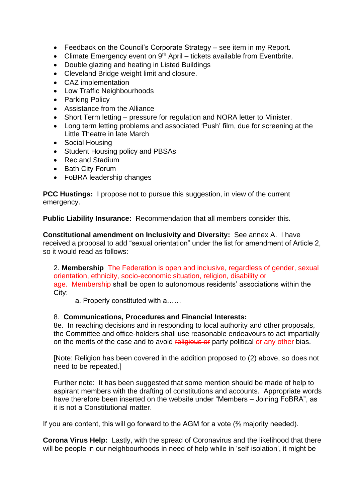- Feedback on the Council's Corporate Strategy see item in my Report.
- Climate Emergency event on  $9<sup>th</sup>$  April tickets available from Eventbrite.
- Double glazing and heating in Listed Buildings
- Cleveland Bridge weight limit and closure.
- CAZ implementation
- Low Traffic Neighbourhoods
- Parking Policy
- Assistance from the Alliance
- Short Term letting pressure for regulation and NORA letter to Minister.
- Long term letting problems and associated 'Push' film, due for screening at the Little Theatre in late March
- Social Housing
- Student Housing policy and PBSAs
- Rec and Stadium
- Bath City Forum
- FoBRA leadership changes

**PCC Hustings:** I propose not to pursue this suggestion, in view of the current emergency.

**Public Liability Insurance:** Recommendation that all members consider this.

**Constitutional amendment on Inclusivity and Diversity:** See annex A. I have received a proposal to add "sexual orientation" under the list for amendment of Article 2, so it would read as follows:

2. **Membership** The Federation is open and inclusive, regardless of gender, sexual orientation, ethnicity, socio-economic situation, religion, disability or age. Membership shall be open to autonomous residents' associations within the City:

a. Properly constituted with a……

## 8. **Communications, Procedures and Financial Interests:**

8e. In reaching decisions and in responding to local authority and other proposals, the Committee and office-holders shall use reasonable endeavours to act impartially on the merits of the case and to avoid religious or party political or any other bias.

[Note: Religion has been covered in the addition proposed to (2) above, so does not need to be repeated.]

Further note: It has been suggested that some mention should be made of help to aspirant members with the drafting of constitutions and accounts. Appropriate words have therefore been inserted on the website under "Members – Joining FoBRA", as it is not a Constitutional matter.

If you are content, this will go forward to the AGM for a vote (⅔ majority needed).

**Corona Virus Help:** Lastly, with the spread of Coronavirus and the likelihood that there will be people in our neighbourhoods in need of help while in 'self isolation', it might be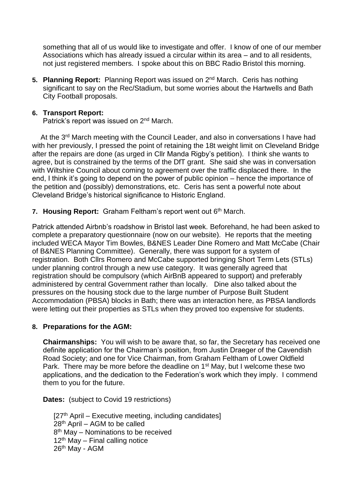something that all of us would like to investigate and offer. I know of one of our member Associations which has already issued a circular within its area – and to all residents, not just registered members. I spoke about this on BBC Radio Bristol this morning.

5. Planning Report: Planning Report was issued on 2<sup>nd</sup> March. Ceris has nothing significant to say on the Rec/Stadium, but some worries about the Hartwells and Bath City Football proposals.

### **6. Transport Report:**

Patrick's report was issued on 2<sup>nd</sup> March.

At the 3<sup>rd</sup> March meeting with the Council Leader, and also in conversations I have had with her previously, I pressed the point of retaining the 18t weight limit on Cleveland Bridge after the repairs are done (as urged in Cllr Manda Rigby's petition). I think she wants to agree, but is constrained by the terms of the DfT grant. She said she was in conversation with Wiltshire Council about coming to agreement over the traffic displaced there. In the end, I think it's going to depend on the power of public opinion – hence the importance of the petition and (possibly) demonstrations, etc. Ceris has sent a powerful note about Cleveland Bridge's historical significance to Historic England.

7. Housing Report: Graham Feltham's report went out 6<sup>th</sup> March.

Patrick attended Airbnb's roadshow in Bristol last week. Beforehand, he had been asked to complete a preparatory questionnaire (now on our website). He reports that the meeting included WECA Mayor Tim Bowles, B&NES Leader Dine Romero and Matt McCabe (Chair of B&NES Planning Committee). Generally, there was support for a system of registration. Both Cllrs Romero and McCabe supported bringing Short Term Lets (STLs) under planning control through a new use category. It was generally agreed that registration should be compulsory (which AirBnB appeared to support) and preferably administered by central Government rather than locally. Dine also talked about the pressures on the housing stock due to the large number of Purpose Built Student Accommodation (PBSA) blocks in Bath; there was an interaction here, as PBSA landlords were letting out their properties as STLs when they proved too expensive for students.

### **8. Preparations for the AGM:**

**Chairmanships:** You will wish to be aware that, so far, the Secretary has received one definite application for the Chairman's position, from Justin Draeger of the Cavendish Road Society; and one for Vice Chairman, from Graham Feltham of Lower Oldfield Park. There may be more before the deadline on 1<sup>st</sup> May, but I welcome these two applications, and the dedication to the Federation's work which they imply. I commend them to you for the future.

**Dates:** (subject to Covid 19 restrictions)

[27<sup>th</sup> April – Executive meeting, including candidates] 28th April – AGM to be called 8<sup>th</sup> May - Nominations to be received  $12<sup>th</sup>$  May – Final calling notice 26th May - AGM